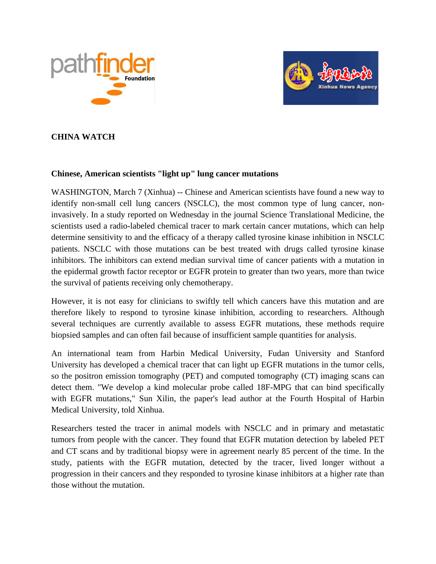



# **CHINA WATCH**

### **Chinese, American scientists "light up" lung cancer mutations**

WASHINGTON, March 7 (Xinhua) -- Chinese and American scientists have found a new way to identify non-small cell lung cancers (NSCLC), the most common type of lung cancer, noninvasively. In a study reported on Wednesday in the journal Science Translational Medicine, the scientists used a radio-labeled chemical tracer to mark certain cancer mutations, which can help determine sensitivity to and the efficacy of a therapy called tyrosine kinase inhibition in NSCLC patients. NSCLC with those mutations can be best treated with drugs called tyrosine kinase inhibitors. The inhibitors can extend median survival time of cancer patients with a mutation in the epidermal growth factor receptor or EGFR protein to greater than two years, more than twice the survival of patients receiving only chemotherapy.

However, it is not easy for clinicians to swiftly tell which cancers have this mutation and are therefore likely to respond to tyrosine kinase inhibition, according to researchers. Although several techniques are currently available to assess EGFR mutations, these methods require biopsied samples and can often fail because of insufficient sample quantities for analysis.

An international team from Harbin Medical University, Fudan University and Stanford University has developed a chemical tracer that can light up EGFR mutations in the tumor cells, so the positron emission tomography (PET) and computed tomography (CT) imaging scans can detect them. "We develop a kind molecular probe called 18F-MPG that can bind specifically with EGFR mutations," Sun Xilin, the paper's lead author at the Fourth Hospital of Harbin Medical University, told Xinhua.

Researchers tested the tracer in animal models with NSCLC and in primary and metastatic tumors from people with the cancer. They found that EGFR mutation detection by labeled PET and CT scans and by traditional biopsy were in agreement nearly 85 percent of the time. In the study, patients with the EGFR mutation, detected by the tracer, lived longer without a progression in their cancers and they responded to tyrosine kinase inhibitors at a higher rate than those without the mutation.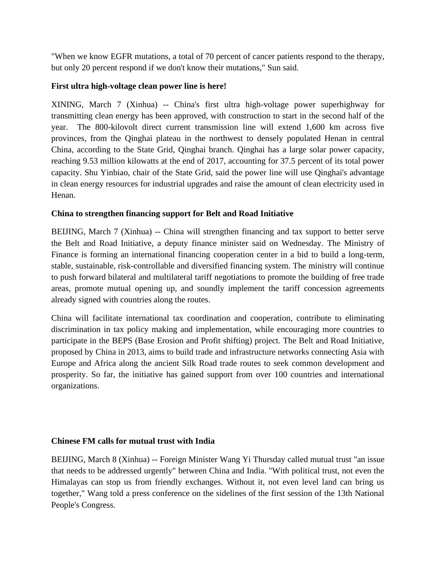"When we know EGFR mutations, a total of 70 percent of cancer patients respond to the therapy, but only 20 percent respond if we don't know their mutations," Sun said.

## **First ultra high-voltage clean power line is here!**

XINING, March 7 (Xinhua) -- China's first ultra high-voltage power superhighway for transmitting clean energy has been approved, with construction to start in the second half of the year. The 800-kilovolt direct current transmission line will extend 1,600 km across five provinces, from the Qinghai plateau in the northwest to densely populated Henan in central China, according to the State Grid, Qinghai branch. Qinghai has a large solar power capacity, reaching 9.53 million kilowatts at the end of 2017, accounting for 37.5 percent of its total power capacity. Shu Yinbiao, chair of the State Grid, said the power line will use Qinghai's advantage in clean energy resources for industrial upgrades and raise the amount of clean electricity used in Henan.

# **China to strengthen financing support for Belt and Road Initiative**

BEIJING, March 7 (Xinhua) -- China will strengthen financing and tax support to better serve the Belt and Road Initiative, a deputy finance minister said on Wednesday. The Ministry of Finance is forming an international financing cooperation center in a bid to build a long-term, stable, sustainable, risk-controllable and diversified financing system. The ministry will continue to push forward bilateral and multilateral tariff negotiations to promote the building of free trade areas, promote mutual opening up, and soundly implement the tariff concession agreements already signed with countries along the routes.

China will facilitate international tax coordination and cooperation, contribute to eliminating discrimination in tax policy making and implementation, while encouraging more countries to participate in the BEPS (Base Erosion and Profit shifting) project. The Belt and Road Initiative, proposed by China in 2013, aims to build trade and infrastructure networks connecting Asia with Europe and Africa along the ancient Silk Road trade routes to seek common development and prosperity. So far, the initiative has gained support from over 100 countries and international organizations.

## **Chinese FM calls for mutual trust with India**

BEIJING, March 8 (Xinhua) -- Foreign Minister Wang Yi Thursday called mutual trust "an issue that needs to be addressed urgently" between China and India. "With political trust, not even the Himalayas can stop us from friendly exchanges. Without it, not even level land can bring us together," Wang told a press conference on the sidelines of the first session of the 13th National People's Congress.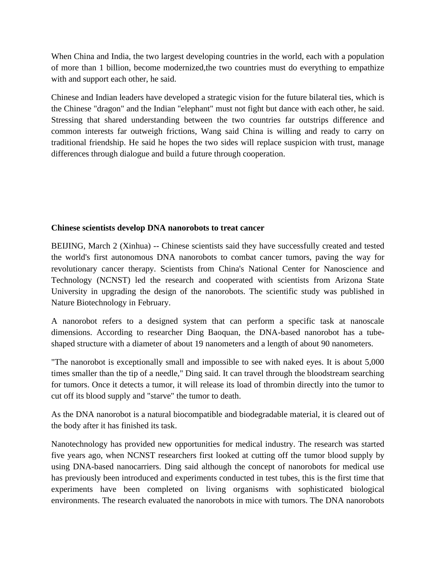When China and India, the two largest developing countries in the world, each with a population of more than 1 billion, become modernized,the two countries must do everything to empathize with and support each other, he said.

Chinese and Indian leaders have developed a strategic vision for the future bilateral ties, which is the Chinese "dragon" and the Indian "elephant" must not fight but dance with each other, he said. Stressing that shared understanding between the two countries far outstrips difference and common interests far outweigh frictions, Wang said China is willing and ready to carry on traditional friendship. He said he hopes the two sides will replace suspicion with trust, manage differences through dialogue and build a future through cooperation.

### **Chinese scientists develop DNA nanorobots to treat cancer**

BEIJING, March 2 (Xinhua) -- Chinese scientists said they have successfully created and tested the world's first autonomous DNA nanorobots to combat cancer tumors, paving the way for revolutionary cancer therapy. Scientists from China's National Center for Nanoscience and Technology (NCNST) led the research and cooperated with scientists from Arizona State University in upgrading the design of the nanorobots. The scientific study was published in Nature Biotechnology in February.

A nanorobot refers to a designed system that can perform a specific task at nanoscale dimensions. According to researcher Ding Baoquan, the DNA-based nanorobot has a tubeshaped structure with a diameter of about 19 nanometers and a length of about 90 nanometers.

"The nanorobot is exceptionally small and impossible to see with naked eyes. It is about 5,000 times smaller than the tip of a needle," Ding said. It can travel through the bloodstream searching for tumors. Once it detects a tumor, it will release its load of thrombin directly into the tumor to cut off its blood supply and "starve" the tumor to death.

As the DNA nanorobot is a natural biocompatible and biodegradable material, it is cleared out of the body after it has finished its task.

Nanotechnology has provided new opportunities for medical industry. The research was started five years ago, when NCNST researchers first looked at cutting off the tumor blood supply by using DNA-based nanocarriers. Ding said although the concept of nanorobots for medical use has previously been introduced and experiments conducted in test tubes, this is the first time that experiments have been completed on living organisms with sophisticated biological environments. The research evaluated the nanorobots in mice with tumors. The DNA nanorobots